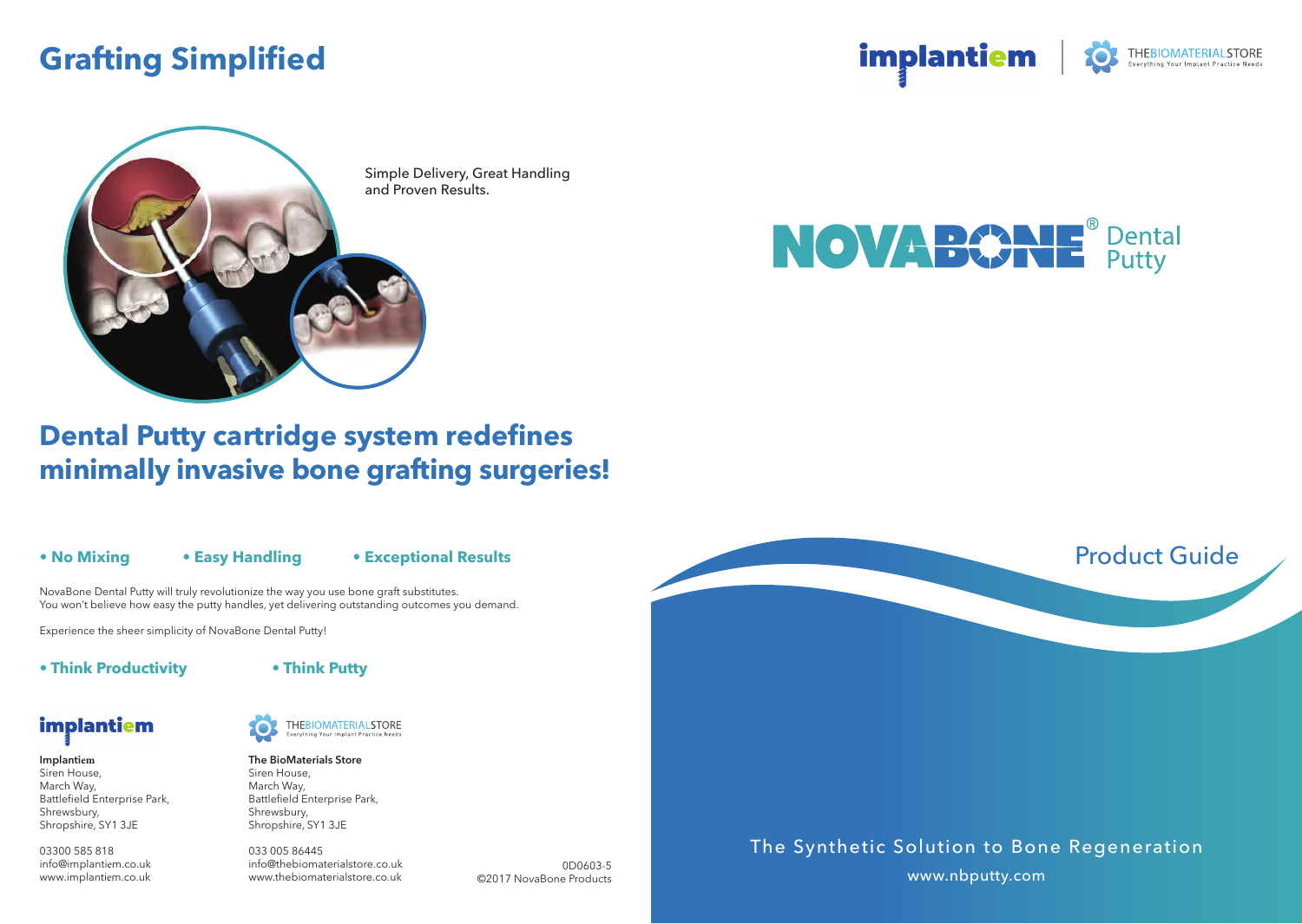## **Grafting Simplified**

implantiem **THEBIOMATERIALSTORE** 



Simple Delivery, Great Handling and Proven Results.



### **Dental Putty cartridge system redefines minimally invasive bone grafting surgeries!**

#### **• No Mixing**

#### **• Easy Handling**

#### **• Exceptional Results**

NovaBone Dental Putty will truly revolutionize the way you use bone graft substitutes. You won't believe how easy the putty handles, yet delivering outstanding outcomes you demand.

Experience the sheer simplicity of NovaBone Dental Putty!

**• Think Productivity**



## implantiem

**Implantiem** Siren House, March Way, Battlefield Enterprise Park, Shrewsbury, Shropshire, SY1 3JE

03300 585 818 info@implantiem.co.uk www.implantiem.co.uk



#### **THEBIOMATERIALSTORE** rything Your Implant Practice Needs

**The BioMaterials Store** Siren House, March Way, Battlefield Enterprise Park, Shrewsbury, Shropshire, SY1 3JE

033 005 86445 info@thebiomaterialstore.co.uk www.thebiomaterialstore.co.uk

0D0603-5 ©2017 NovaBone Products The Synthetic Solution to Bone Regeneration

www.nbputty.com